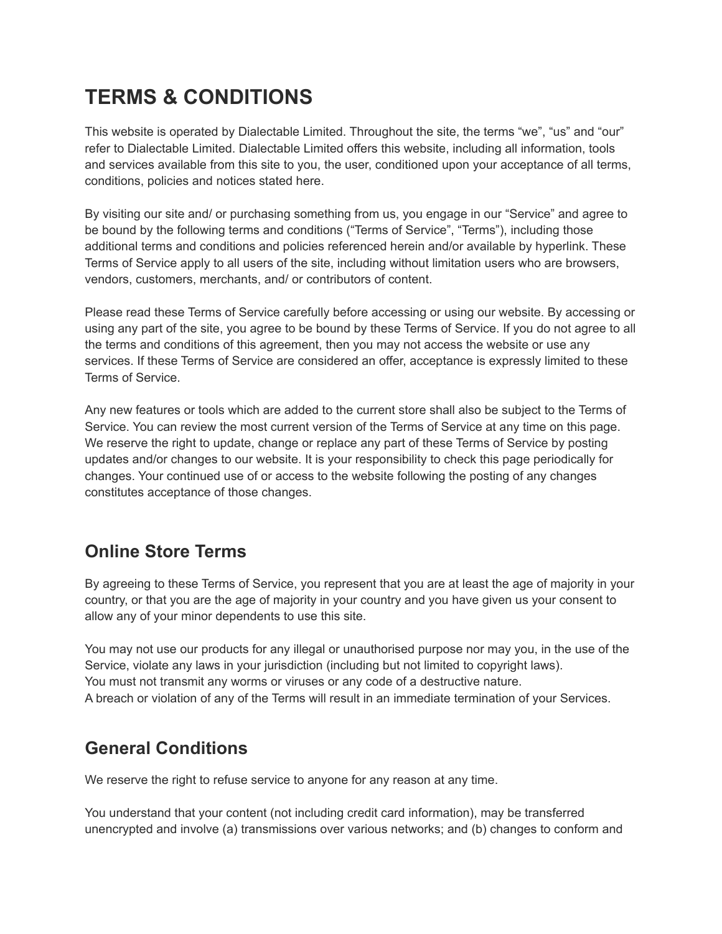# **TERMS & CONDITIONS**

This website is operated by Dialectable Limited. Throughout the site, the terms "we", "us" and "our" refer to Dialectable Limited. Dialectable Limited offers this website, including all information, tools and services available from this site to you, the user, conditioned upon your acceptance of all terms, conditions, policies and notices stated here.

By visiting our site and/ or purchasing something from us, you engage in our "Service" and agree to be bound by the following terms and conditions ("Terms of Service", "Terms"), including those additional terms and conditions and policies referenced herein and/or available by hyperlink. These Terms of Service apply to all users of the site, including without limitation users who are browsers, vendors, customers, merchants, and/ or contributors of content.

Please read these Terms of Service carefully before accessing or using our website. By accessing or using any part of the site, you agree to be bound by these Terms of Service. If you do not agree to all the terms and conditions of this agreement, then you may not access the website or use any services. If these Terms of Service are considered an offer, acceptance is expressly limited to these Terms of Service.

Any new features or tools which are added to the current store shall also be subject to the Terms of Service. You can review the most current version of the Terms of Service at any time on this page. We reserve the right to update, change or replace any part of these Terms of Service by posting updates and/or changes to our website. It is your responsibility to check this page periodically for changes. Your continued use of or access to the website following the posting of any changes constitutes acceptance of those changes.

# **Online Store Terms**

By agreeing to these Terms of Service, you represent that you are at least the age of majority in your country, or that you are the age of majority in your country and you have given us your consent to allow any of your minor dependents to use this site.

You may not use our products for any illegal or unauthorised purpose nor may you, in the use of the Service, violate any laws in your jurisdiction (including but not limited to copyright laws). You must not transmit any worms or viruses or any code of a destructive nature. A breach or violation of any of the Terms will result in an immediate termination of your Services.

# **General Conditions**

We reserve the right to refuse service to anyone for any reason at any time.

You understand that your content (not including credit card information), may be transferred unencrypted and involve (a) transmissions over various networks; and (b) changes to conform and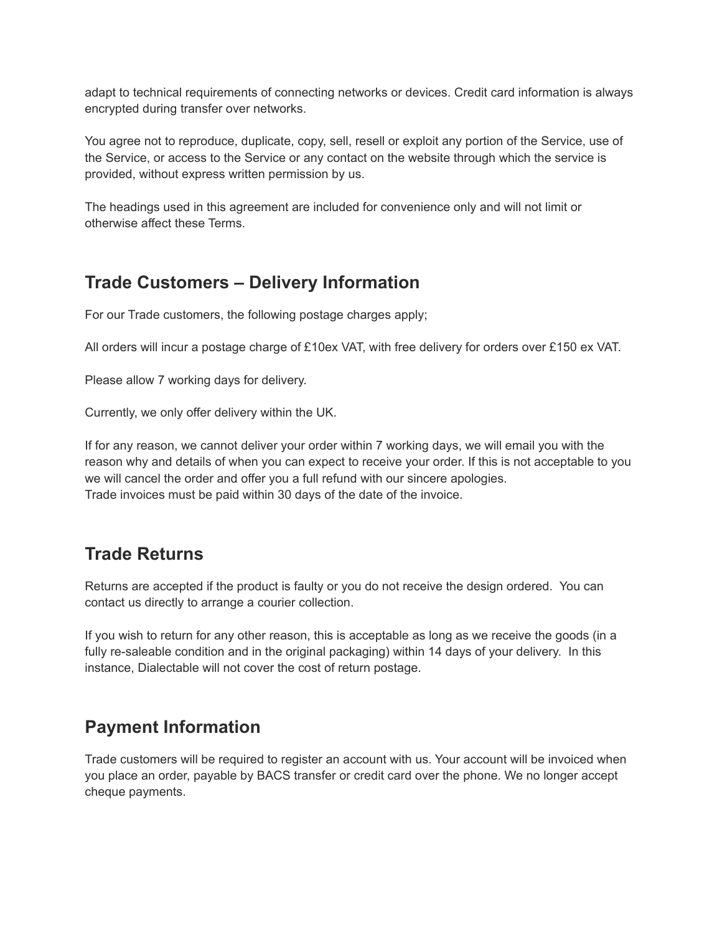adapt to technical requirements of connecting networks or devices. Credit card information is always encrypted during transfer over networks.

You agree not to reproduce, duplicate, copy, sell, resell or exploit any portion of the Service, use of the Service, or access to the Service or any contact on the website through which the service is provided, without express written permission by us.

The headings used in this agreement are included for convenience only and will not limit or otherwise affect these Terms.

#### **Trade Customers – Delivery Information**

For our Trade customers, the following postage charges apply;

All orders will incur a postage charge of £10ex VAT, with free delivery for orders over £150 ex VAT.

Please allow 7 working days for delivery.

Currently, we only offer delivery within the UK.

If for any reason, we cannot deliver your order within 7 working days, we will email you with the reason why and details of when you can expect to receive your order. If this is not acceptable to you we will cancel the order and offer you a full refund with our sincere apologies. Trade invoices must be paid within 30 days of the date of the invoice.

### **Trade Returns**

Returns are accepted if the product is faulty or you do not receive the design ordered. You can contact us directly to arrange a courier collection.

If you wish to return for any other reason, this is acceptable as long as we receive the goods (in a fully re-saleable condition and in the original packaging) within 14 days of your delivery. In this instance, Dialectable will not cover the cost of return postage.

### **Payment Information**

Trade customers will be required to register an account with us. Your account will be invoiced when you place an order, payable by BACS transfer or credit card over the phone. We no longer accept cheque payments.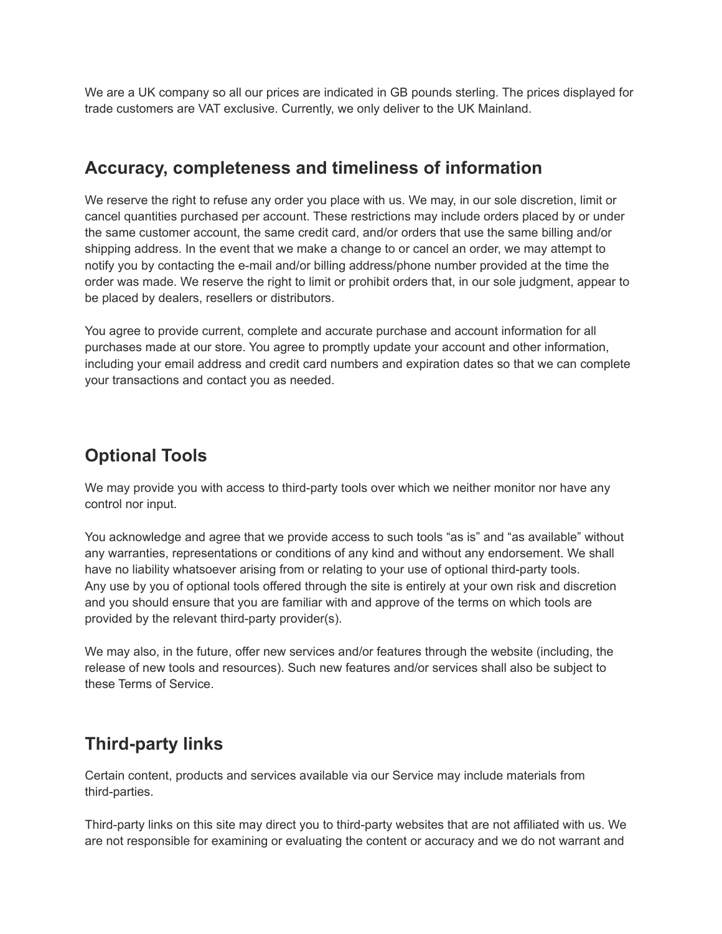We are a UK company so all our prices are indicated in GB pounds sterling. The prices displayed for trade customers are VAT exclusive. Currently, we only deliver to the UK Mainland.

### **Accuracy, completeness and timeliness of information**

We reserve the right to refuse any order you place with us. We may, in our sole discretion, limit or cancel quantities purchased per account. These restrictions may include orders placed by or under the same customer account, the same credit card, and/or orders that use the same billing and/or shipping address. In the event that we make a change to or cancel an order, we may attempt to notify you by contacting the e-mail and/or billing address/phone number provided at the time the order was made. We reserve the right to limit or prohibit orders that, in our sole judgment, appear to be placed by dealers, resellers or distributors.

You agree to provide current, complete and accurate purchase and account information for all purchases made at our store. You agree to promptly update your account and other information, including your email address and credit card numbers and expiration dates so that we can complete your transactions and contact you as needed.

### **Optional Tools**

We may provide you with access to third-party tools over which we neither monitor nor have any control nor input.

You acknowledge and agree that we provide access to such tools "as is" and "as available" without any warranties, representations or conditions of any kind and without any endorsement. We shall have no liability whatsoever arising from or relating to your use of optional third-party tools. Any use by you of optional tools offered through the site is entirely at your own risk and discretion and you should ensure that you are familiar with and approve of the terms on which tools are provided by the relevant third-party provider(s).

We may also, in the future, offer new services and/or features through the website (including, the release of new tools and resources). Such new features and/or services shall also be subject to these Terms of Service.

# **Third-party links**

Certain content, products and services available via our Service may include materials from third-parties.

Third-party links on this site may direct you to third-party websites that are not affiliated with us. We are not responsible for examining or evaluating the content or accuracy and we do not warrant and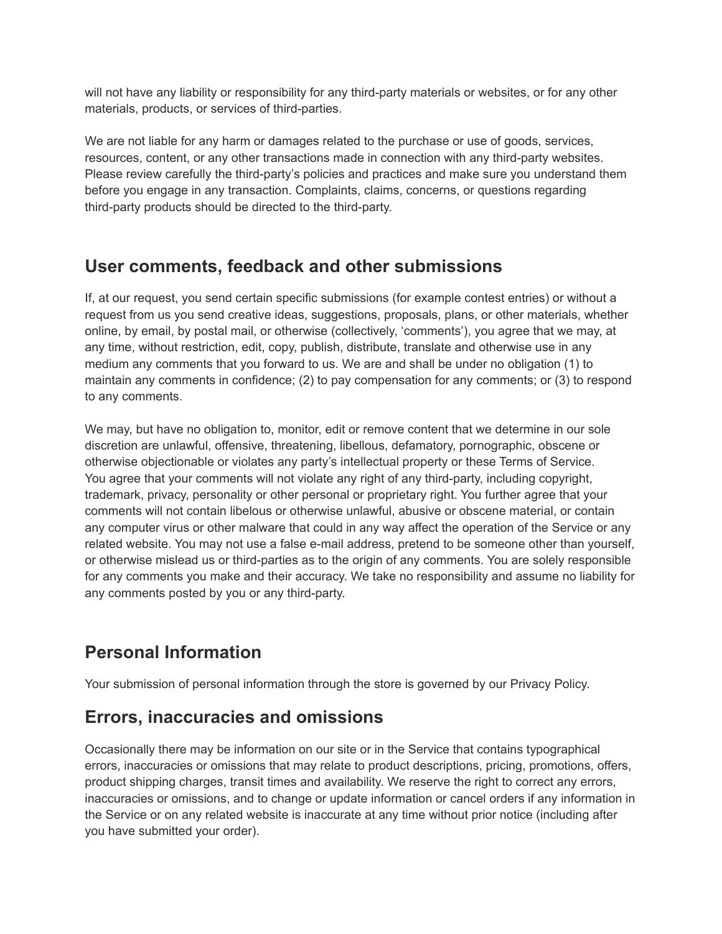will not have any liability or responsibility for any third-party materials or websites, or for any other materials, products, or services of third-parties.

We are not liable for any harm or damages related to the purchase or use of goods, services, resources, content, or any other transactions made in connection with any third-party websites. Please review carefully the third-party's policies and practices and make sure you understand them before you engage in any transaction. Complaints, claims, concerns, or questions regarding third-party products should be directed to the third-party.

### **User comments, feedback and other submissions**

If, at our request, you send certain specific submissions (for example contest entries) or without a request from us you send creative ideas, suggestions, proposals, plans, or other materials, whether online, by email, by postal mail, or otherwise (collectively, 'comments'), you agree that we may, at any time, without restriction, edit, copy, publish, distribute, translate and otherwise use in any medium any comments that you forward to us. We are and shall be under no obligation (1) to maintain any comments in confidence; (2) to pay compensation for any comments; or (3) to respond to any comments.

We may, but have no obligation to, monitor, edit or remove content that we determine in our sole discretion are unlawful, offensive, threatening, libellous, defamatory, pornographic, obscene or otherwise objectionable or violates any party's intellectual property or these Terms of Service. You agree that your comments will not violate any right of any third-party, including copyright, trademark, privacy, personality or other personal or proprietary right. You further agree that your comments will not contain libelous or otherwise unlawful, abusive or obscene material, or contain any computer virus or other malware that could in any way affect the operation of the Service or any related website. You may not use a false e-mail address, pretend to be someone other than yourself, or otherwise mislead us or third-parties as to the origin of any comments. You are solely responsible for any comments you make and their accuracy. We take no responsibility and assume no liability for any comments posted by you or any third-party.

# **Personal Information**

Your submission of personal information through the store is governed by our Privacy Policy.

### **Errors, inaccuracies and omissions**

Occasionally there may be information on our site or in the Service that contains typographical errors, inaccuracies or omissions that may relate to product descriptions, pricing, promotions, offers, product shipping charges, transit times and availability. We reserve the right to correct any errors, inaccuracies or omissions, and to change or update information or cancel orders if any information in the Service or on any related website is inaccurate at any time without prior notice (including after you have submitted your order).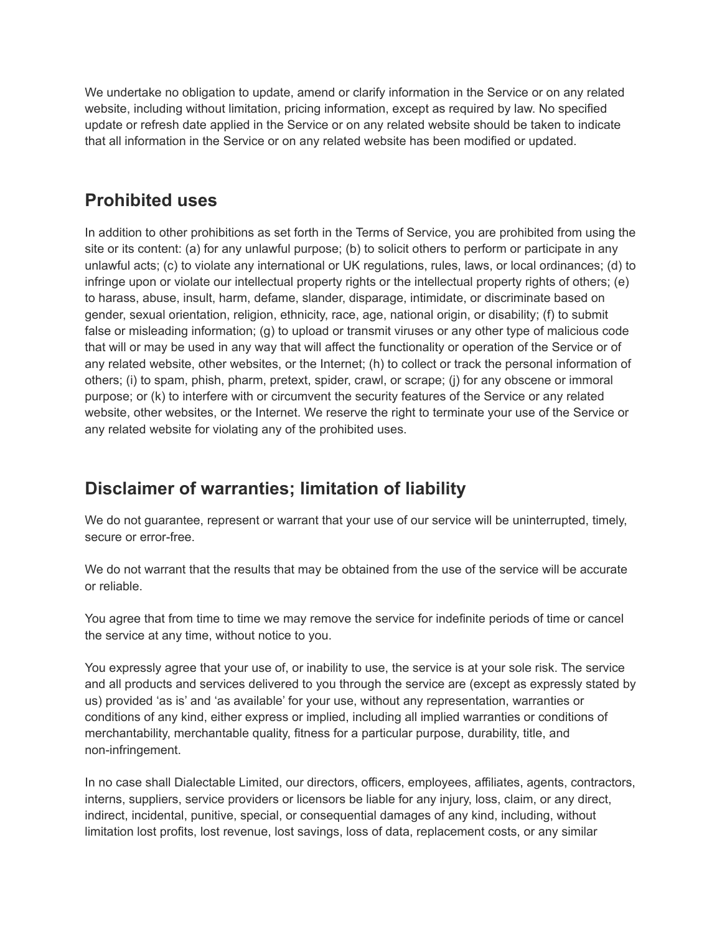We undertake no obligation to update, amend or clarify information in the Service or on any related website, including without limitation, pricing information, except as required by law. No specified update or refresh date applied in the Service or on any related website should be taken to indicate that all information in the Service or on any related website has been modified or updated.

### **Prohibited uses**

In addition to other prohibitions as set forth in the Terms of Service, you are prohibited from using the site or its content: (a) for any unlawful purpose; (b) to solicit others to perform or participate in any unlawful acts; (c) to violate any international or UK regulations, rules, laws, or local ordinances; (d) to infringe upon or violate our intellectual property rights or the intellectual property rights of others; (e) to harass, abuse, insult, harm, defame, slander, disparage, intimidate, or discriminate based on gender, sexual orientation, religion, ethnicity, race, age, national origin, or disability; (f) to submit false or misleading information; (g) to upload or transmit viruses or any other type of malicious code that will or may be used in any way that will affect the functionality or operation of the Service or of any related website, other websites, or the Internet; (h) to collect or track the personal information of others; (i) to spam, phish, pharm, pretext, spider, crawl, or scrape; (j) for any obscene or immoral purpose; or (k) to interfere with or circumvent the security features of the Service or any related website, other websites, or the Internet. We reserve the right to terminate your use of the Service or any related website for violating any of the prohibited uses.

### **Disclaimer of warranties; limitation of liability**

We do not quarantee, represent or warrant that your use of our service will be uninterrupted, timely, secure or error-free.

We do not warrant that the results that may be obtained from the use of the service will be accurate or reliable.

You agree that from time to time we may remove the service for indefinite periods of time or cancel the service at any time, without notice to you.

You expressly agree that your use of, or inability to use, the service is at your sole risk. The service and all products and services delivered to you through the service are (except as expressly stated by us) provided 'as is' and 'as available' for your use, without any representation, warranties or conditions of any kind, either express or implied, including all implied warranties or conditions of merchantability, merchantable quality, fitness for a particular purpose, durability, title, and non-infringement.

In no case shall Dialectable Limited, our directors, officers, employees, affiliates, agents, contractors, interns, suppliers, service providers or licensors be liable for any injury, loss, claim, or any direct, indirect, incidental, punitive, special, or consequential damages of any kind, including, without limitation lost profits, lost revenue, lost savings, loss of data, replacement costs, or any similar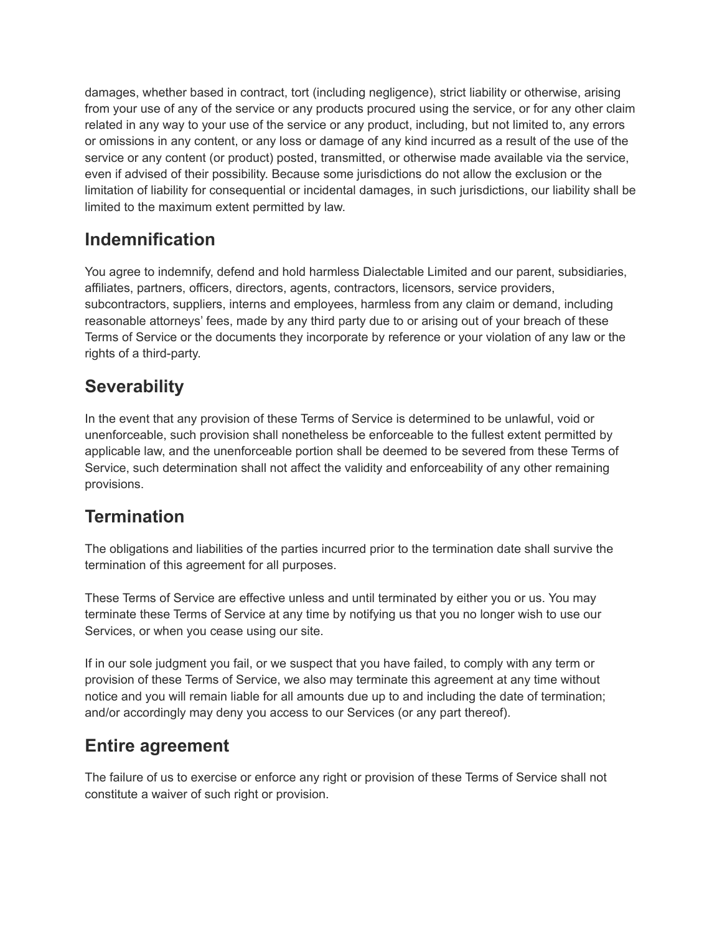damages, whether based in contract, tort (including negligence), strict liability or otherwise, arising from your use of any of the service or any products procured using the service, or for any other claim related in any way to your use of the service or any product, including, but not limited to, any errors or omissions in any content, or any loss or damage of any kind incurred as a result of the use of the service or any content (or product) posted, transmitted, or otherwise made available via the service, even if advised of their possibility. Because some jurisdictions do not allow the exclusion or the limitation of liability for consequential or incidental damages, in such jurisdictions, our liability shall be limited to the maximum extent permitted by law.

# **Indemnification**

You agree to indemnify, defend and hold harmless Dialectable Limited and our parent, subsidiaries, affiliates, partners, officers, directors, agents, contractors, licensors, service providers, subcontractors, suppliers, interns and employees, harmless from any claim or demand, including reasonable attorneys' fees, made by any third party due to or arising out of your breach of these Terms of Service or the documents they incorporate by reference or your violation of any law or the rights of a third-party.

### **Severability**

In the event that any provision of these Terms of Service is determined to be unlawful, void or unenforceable, such provision shall nonetheless be enforceable to the fullest extent permitted by applicable law, and the unenforceable portion shall be deemed to be severed from these Terms of Service, such determination shall not affect the validity and enforceability of any other remaining provisions.

# **Termination**

The obligations and liabilities of the parties incurred prior to the termination date shall survive the termination of this agreement for all purposes.

These Terms of Service are effective unless and until terminated by either you or us. You may terminate these Terms of Service at any time by notifying us that you no longer wish to use our Services, or when you cease using our site.

If in our sole judgment you fail, or we suspect that you have failed, to comply with any term or provision of these Terms of Service, we also may terminate this agreement at any time without notice and you will remain liable for all amounts due up to and including the date of termination; and/or accordingly may deny you access to our Services (or any part thereof).

### **Entire agreement**

The failure of us to exercise or enforce any right or provision of these Terms of Service shall not constitute a waiver of such right or provision.